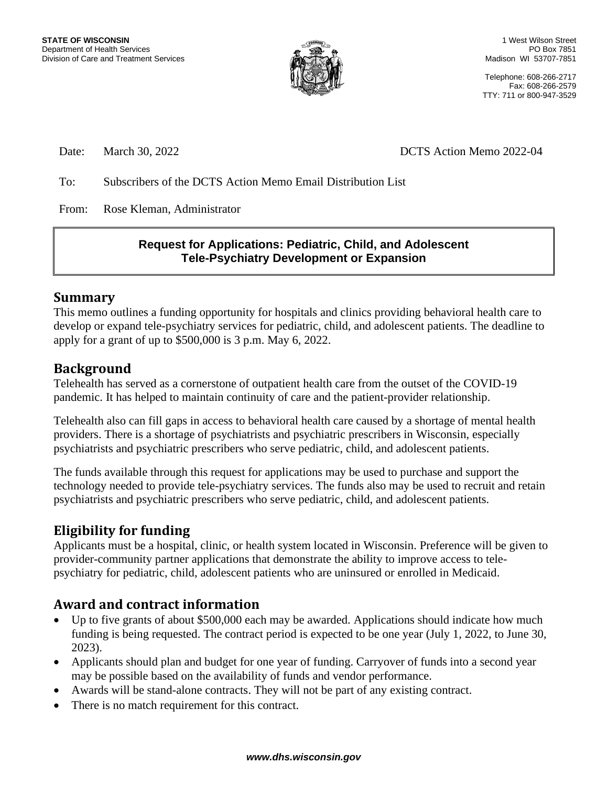

Telephone: 608-266-2717 Fax: 608-266-2579 TTY: 711 or 800-947-3529

Date: March 30, 2022 DATE: March 30, 2022

To: Subscribers of the DCTS Action Memo Email Distribution List

From: Rose Kleman, Administrator

## **Request for Applications: Pediatric, Child, and Adolescent Tele-Psychiatry Development or Expansion**

## **Summary**

This memo outlines a funding opportunity for hospitals and clinics providing behavioral health care to develop or expand tele-psychiatry services for pediatric, child, and adolescent patients. The deadline to apply for a grant of up to \$500,000 is 3 p.m. May 6, 2022.

# **Background**

Telehealth has served as a cornerstone of outpatient health care from the outset of the COVID-19 pandemic. It has helped to maintain continuity of care and the patient-provider relationship.

Telehealth also can fill gaps in access to behavioral health care caused by a shortage of mental health providers. There is a shortage of psychiatrists and psychiatric prescribers in Wisconsin, especially psychiatrists and psychiatric prescribers who serve pediatric, child, and adolescent patients.

The funds available through this request for applications may be used to purchase and support the technology needed to provide tele-psychiatry services. The funds also may be used to recruit and retain psychiatrists and psychiatric prescribers who serve pediatric, child, and adolescent patients.

# **Eligibility for funding**

Applicants must be a hospital, clinic, or health system located in Wisconsin. Preference will be given to provider-community partner applications that demonstrate the ability to improve access to telepsychiatry for pediatric, child, adolescent patients who are uninsured or enrolled in Medicaid.

# **Award and contract information**

- Up to five grants of about \$500,000 each may be awarded. Applications should indicate how much funding is being requested. The contract period is expected to be one year (July 1, 2022, to June 30, 2023).
- Applicants should plan and budget for one year of funding. Carryover of funds into a second year may be possible based on the availability of funds and vendor performance.
- Awards will be stand-alone contracts. They will not be part of any existing contract.
- There is no match requirement for this contract.

#### *www.dhs.wisconsin.gov*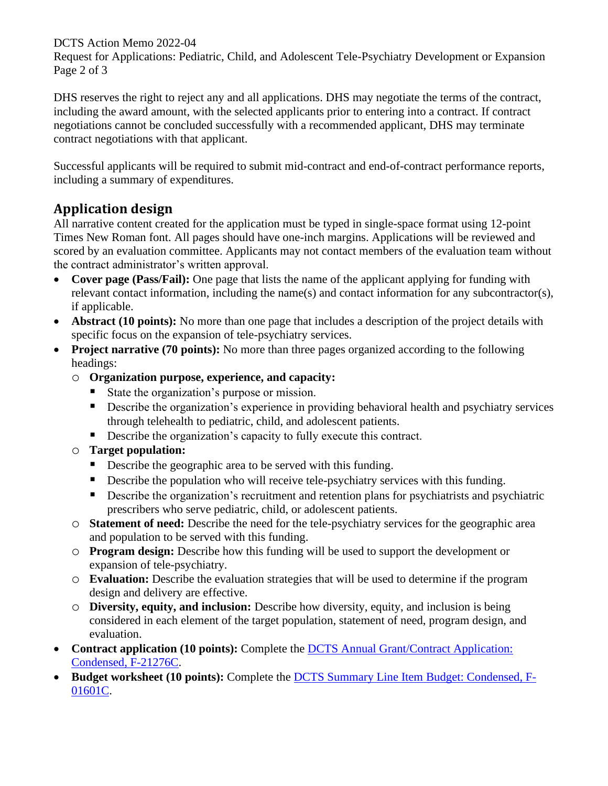DCTS Action Memo 2022-04

Request for Applications: Pediatric, Child, and Adolescent Tele-Psychiatry Development or Expansion Page 2 of 3

DHS reserves the right to reject any and all applications. DHS may negotiate the terms of the contract, including the award amount, with the selected applicants prior to entering into a contract. If contract negotiations cannot be concluded successfully with a recommended applicant, DHS may terminate contract negotiations with that applicant.

Successful applicants will be required to submit mid-contract and end-of-contract performance reports, including a summary of expenditures.

# **Application design**

All narrative content created for the application must be typed in single-space format using 12-point Times New Roman font. All pages should have one-inch margins. Applications will be reviewed and scored by an evaluation committee. Applicants may not contact members of the evaluation team without the contract administrator's written approval.

- **Cover page (Pass/Fail):** One page that lists the name of the applicant applying for funding with relevant contact information, including the name(s) and contact information for any subcontractor(s), if applicable.
- **Abstract (10 points):** No more than one page that includes a description of the project details with specific focus on the expansion of tele-psychiatry services.
- **Project narrative (70 points):** No more than three pages organized according to the following headings:
	- o **Organization purpose, experience, and capacity:**
		- State the organization's purpose or mission.
		- **•** Describe the organization's experience in providing behavioral health and psychiatry services through telehealth to pediatric, child, and adolescent patients.
		- Describe the organization's capacity to fully execute this contract.
	- o **Target population:**
		- Describe the geographic area to be served with this funding.
		- **•** Describe the population who will receive tele-psychiatry services with this funding.
		- **•** Describe the organization's recruitment and retention plans for psychiatrists and psychiatric prescribers who serve pediatric, child, or adolescent patients.
	- o **Statement of need:** Describe the need for the tele-psychiatry services for the geographic area and population to be served with this funding.
	- o **Program design:** Describe how this funding will be used to support the development or expansion of tele-psychiatry.
	- o **Evaluation:** Describe the evaluation strategies that will be used to determine if the program design and delivery are effective.
	- o **Diversity, equity, and inclusion:** Describe how diversity, equity, and inclusion is being considered in each element of the target population, statement of need, program design, and evaluation.
- **Contract application (10 points):** Complete the DCTS Annual Grant/Contract Application: [Condensed, F-21276C.](https://www.dhs.wisconsin.gov/forms/f21276c.docx)
- **Budget worksheet (10 points):** Complete the [DCTS Summary Line Item Budget: Condensed, F-](https://www.dhs.wisconsin.gov/forms/f01601c.xlsx)[01601C.](https://www.dhs.wisconsin.gov/forms/f01601c.xlsx)